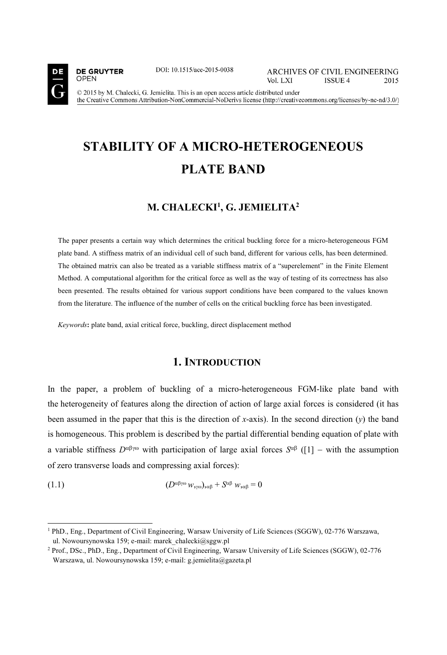

**DE GRUYTER** 

**OPEN** 

j

DOI: 10.1515/ace-2015-0038

**ARCHIVES OF CIVIL ENGINEERING** Vol. LXI **ISSUE 4** 2015

© 2015 by M. Chalecki, G. Jemielita. This is an open access article distributed under the Creative Commons Attribution-NonCommercial-NoDerivs license (http://creativecommons.org/licenses/by-nc-nd/3.0/)

# **STABILITY OF A MICRO-HETEROGENEOUS PLATE BAND**

# **M. CHALECKI1 , G. JEMIELITA2**

The paper presents a certain way which determines the critical buckling force for a micro-heterogeneous FGM plate band. A stiffness matrix of an individual cell of such band, different for various cells, has been determined. The obtained matrix can also be treated as a variable stiffness matrix of a "superelement" in the Finite Element Method. A computational algorithm for the critical force as well as the way of testing of its correctness has also been presented. The results obtained for various support conditions have been compared to the values known from the literature. The influence of the number of cells on the critical buckling force has been investigated.

*Keywords***:** plate band, axial critical force, buckling, direct displacement method

#### **1. INTRODUCTION**

In the paper, a problem of buckling of a micro-heterogeneous FGM-like plate band with the heterogeneity of features along the direction of action of large axial forces is considered (it has been assumed in the paper that this is the direction of *x*-axis). In the second direction (*y*) the band is homogeneous. This problem is described by the partial differential bending equation of plate with a variable stiffness  $D^{\alpha\beta\gamma\omega}$  with participation of large axial forces  $S^{\alpha\beta}$  ([1] – with the assumption of zero transverse loads and compressing axial forces):

$$
(1.1) \t\t\t(D^{\alpha\beta\gamma\omega}w_{\gamma\omega})_{\alpha\beta} + S^{\alpha\beta}w_{\gamma\alpha\beta} = 0
$$

<sup>1</sup> PhD., Eng., Department of Civil Engineering, Warsaw University of Life Sciences (SGGW), 02-776 Warszawa, ul. Nowoursynowska 159; e-mail: marek\_chalecki@sggw.pl

<sup>2</sup> Prof., DSc., PhD., Eng., Department of Civil Engineering, Warsaw University of Life Sciences (SGGW), 02-776 Warszawa, ul. Nowoursynowska 159; e-mail: g.jemielita@gazeta.pl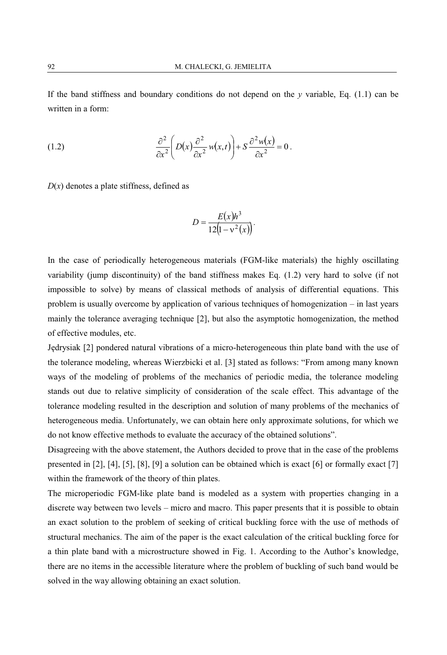If the band stiffness and boundary conditions do not depend on the *y* variable, Eq. (1.1) can be written in a form:

(1.2) 
$$
\frac{\partial^2}{\partial x^2} \left( D(x) \frac{\partial^2}{\partial x^2} w(x,t) \right) + S \frac{\partial^2 w(x)}{\partial x^2} = 0.
$$

 $D(x)$  denotes a plate stiffness, defined as

$$
D = \frac{E(x)h^3}{12(1 - v^2(x))}.
$$

In the case of periodically heterogeneous materials (FGM-like materials) the highly oscillating variability (jump discontinuity) of the band stiffness makes Eq. (1.2) very hard to solve (if not impossible to solve) by means of classical methods of analysis of differential equations. This problem is usually overcome by application of various techniques of homogenization – in last years mainly the tolerance averaging technique [2], but also the asymptotic homogenization, the method of effective modules, etc.

Jędrysiak [2] pondered natural vibrations of a micro-heterogeneous thin plate band with the use of the tolerance modeling, whereas Wierzbicki et al. [3] stated as follows: "From among many known ways of the modeling of problems of the mechanics of periodic media, the tolerance modeling stands out due to relative simplicity of consideration of the scale effect. This advantage of the tolerance modeling resulted in the description and solution of many problems of the mechanics of heterogeneous media. Unfortunately, we can obtain here only approximate solutions, for which we do not know effective methods to evaluate the accuracy of the obtained solutions".

Disagreeing with the above statement, the Authors decided to prove that in the case of the problems presented in [2], [4], [5], [8], [9] a solution can be obtained which is exact [6] or formally exact [7] within the framework of the theory of thin plates.

The microperiodic FGM-like plate band is modeled as a system with properties changing in a discrete way between two levels – micro and macro. This paper presents that it is possible to obtain an exact solution to the problem of seeking of critical buckling force with the use of methods of structural mechanics. The aim of the paper is the exact calculation of the critical buckling force for a thin plate band with a microstructure showed in Fig. 1. According to the Author's knowledge, there are no items in the accessible literature where the problem of buckling of such band would be solved in the way allowing obtaining an exact solution.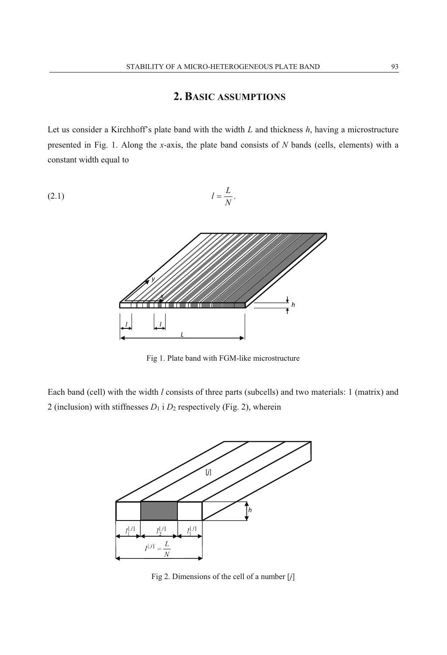# **2. BASIC ASSUMPTIONS**

Let us consider a Kirchhoff's plate band with the width *L* and thickness *h*, having a microstructure presented in Fig. 1. Along the *x*-axis, the plate band consists of *N* bands (cells, elements) with a constant width equal to

$$
l = \frac{L}{N}.
$$



Fig 1. Plate band with FGM-like microstructure

Each band (cell) with the width *l* consists of three parts (subcells) and two materials: 1 (matrix) and 2 (inclusion) with stiffnesses  $D_1$  i  $D_2$  respectively (Fig. 2), wherein



Fig 2. Dimensions of the cell of a number [*j*]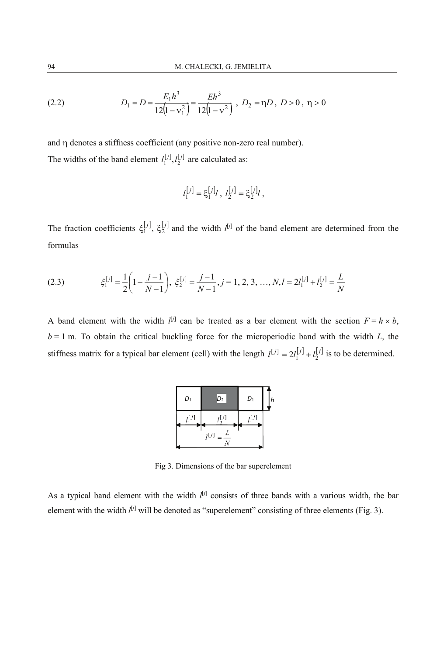(2.2) 
$$
D_1 = D = \frac{E_1 h^3}{12(1 - v_1^2)} = \frac{E h^3}{12(1 - v^2)}, \ D_2 = \eta D, \ D > 0, \ \eta > 0
$$

and  $\eta$  denotes a stiffness coefficient (any positive non-zero real number). The widths of the band element  $I_1^{[j]}, I_2^{[j]}$  are calculated as:

$$
I_1^{[j]} = \xi_1^{[j]}l \, , \, I_2^{[j]} = \xi_2^{[j]}l \, ,
$$

The fraction coefficients  $\xi_1^{[j]}$ ,  $\xi_2^{[j]}$  and the width  $l^{[j]}$  of the band element are determined from the formulas

(2.3) 
$$
\xi_1^{[j]} = \frac{1}{2} \left( 1 - \frac{j-1}{N-1} \right), \ \xi_2^{[j]} = \frac{j-1}{N-1}, j = 1, 2, 3, ..., N, l = 2l_1^{[j]} + l_2^{[j]} = \frac{L}{N}
$$

A band element with the width  $l^{[j]}$  can be treated as a bar element with the section  $F = h \times b$ ,  $b = 1$  m. To obtain the critical buckling force for the microperiodic band with the width  $L$ , the stiffness matrix for a typical bar element (cell) with the length  $I^{[j]} = 2I_1^{[j]} + I_2^{[j]}$  is to be determined.

| $D_1$     | $D_2$     | $D_1$  | h |
|-----------|-----------|--------|---|
| $I^{[j]}$ | ıU1       | rl i 1 |   |
|           | $I^{[j]}$ |        |   |

Fig 3. Dimensions of the bar superelement

As a typical band element with the width *l* [*j*] consists of three bands with a various width, the bar element with the width  $l^{[j]}$  will be denoted as "superelement" consisting of three elements (Fig. 3).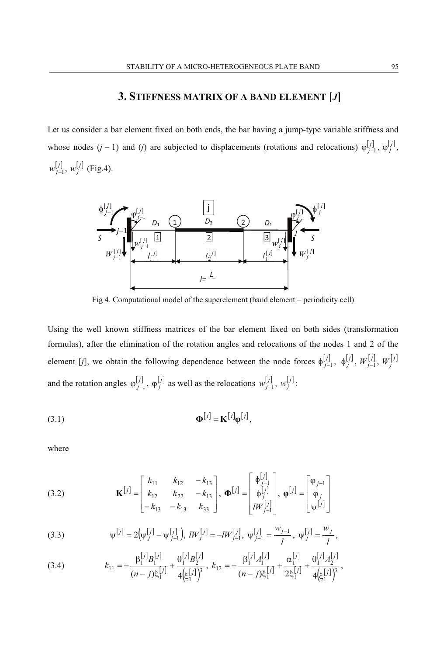# **3. STIFFNESS MATRIX OF A BAND ELEMENT [***J***]**

Let us consider a bar element fixed on both ends, the bar having a jump-type variable stiffness and whose nodes  $(j-1)$  and  $(j)$  are subjected to displacements (rotations and relocations)  $\varphi_{j-1}^{[j]}, \varphi_{j}^{[j]}$  $w_{j-1}^{[j]}$ ,  $w_j^{[j]}$  (Fig.4).



Fig 4. Computational model of the superelement (band element – periodicity cell)

Using the well known stiffness matrices of the bar element fixed on both sides (transformation formulas), after the elimination of the rotation angles and relocations of the nodes 1 and 2 of the element [*j*], we obtain the following dependence between the node forces  $\phi_{j-1}^{[j]}, \phi_{j}^{[j]}, W_{j-1}^{[j]}, W_{j}^{[j]}$ and the rotation angles  $\varphi_{j-1}^{[j]}, \varphi_j^{[j]}$  as well as the relocations  $w_{j-1}^{[j]}, w_j^{[j]}$ .

$$
\mathbf{\Phi}^{[j]} = \mathbf{K}^{[j]} \mathbf{\phi}^{[j]},
$$

where

(3.2) 
$$
\mathbf{K}^{[j]} = \begin{bmatrix} k_{11} & k_{12} & -k_{13} \\ k_{12} & k_{22} & -k_{13} \\ -k_{13} & -k_{13} & k_{33} \end{bmatrix}, \mathbf{\Phi}^{[j]} = \begin{bmatrix} \phi_{j-1}^{[j]} \\ \phi_{j}^{[j]} \\ iW_{j-1}^{[j]} \end{bmatrix}, \mathbf{\phi}^{[j]} = \begin{bmatrix} \phi_{j-1} \\ \phi_j \\ \psi^{[j]} \end{bmatrix}
$$

(3.3) 
$$
\psi^{[j]} = 2(\psi_{j}^{[j]} - \psi_{j-1}^{[j]}), \quad lW_{j}^{[j]} = -lW_{j-1}^{[j]}, \quad \psi_{j-1}^{[j]} = \frac{w_{j-1}}{l}, \quad \psi_{j}^{[j]} = \frac{w_{j}}{l},
$$

(3.4) 
$$
k_{11} = -\frac{\beta_1^{[j]} B_1^{[j]}}{(n-j)\xi_1^{[j]}} + \frac{\theta_1^{[j]} B_2^{[j]}}{4(\xi_1^{[j]})^3}, \ k_{12} = -\frac{\beta_1^{[j]} A_1^{[j]}}{(n-j)\xi_1^{[j]}} + \frac{\alpha_1^{[j]}}{2\xi_1^{[j]}} + \frac{\theta_1^{[j]} A_2^{[j]}}{4(\xi_1^{[j]})^3},
$$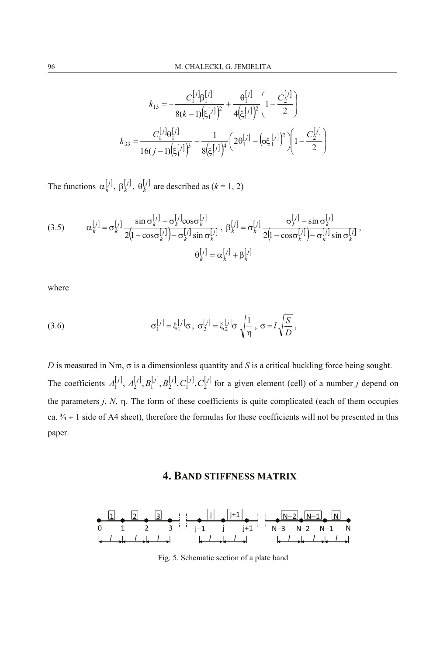$$
k_{13} = -\frac{C_1^{[j]} \beta_1^{[j]}}{8(k-1)(\xi_1^{[j]})^2} + \frac{\theta_1^{[j]}}{4(\xi_1^{[j]})^2} \left(1 - \frac{C_2^{[j]}}{2}\right)
$$

$$
k_{33} = \frac{C_1^{[j]} \theta_1^{[j]}}{16(j-1)(\xi_1^{[j]})^3} - \frac{1}{8(\xi_1^{[j]})^4} \left(2\theta_1^{[j]} - (\sigma\xi_1^{[j]})^2\right) \left(1 - \frac{C_2^{[j]}}{2}\right)
$$

The functions  $\alpha_k^{[j]}, \beta_k^{[j]}, \theta_k^{[j]}$  are described as  $(k = 1, 2)$ 

(3.5) 
$$
\alpha_k^{[j]} = \sigma_k^{[j]} \frac{\sin \sigma_k^{[j]} - \sigma_k^{[j]} \cos \sigma_k^{[j]}}{2(1 - \cos \sigma_k^{[j]}) - \sigma_k^{[j]} \sin \sigma_k^{[j]}}, \beta_k^{[j]} = \sigma_k^{[j]} \frac{\sigma_k^{[j]} - \sin \sigma_k^{[j]}}{2(1 - \cos \sigma_k^{[j]}) - \sigma_k^{[j]} \sin \sigma_k^{[j]}},
$$

$$
\theta_k^{[j]} = \alpha_k^{[j]} + \beta_k^{[j]}
$$

where

(3.6) 
$$
\sigma_1^{[j]} = \xi_1^{[j]} \sigma, \sigma_2^{[j]} = \xi_2^{[j]} \sigma \sqrt{\frac{1}{\eta}}, \sigma = l \sqrt{\frac{S}{D}},
$$

*D* is measured in Nm,  $\sigma$  is a dimensionless quantity and *S* is a critical buckling force being sought. The coefficients  $A_1^{[j]}$ ,  $A_2^{[j]}$ ,  $B_1^{[j]}$ ,  $B_2^{[j]}$ ,  $C_1^{[j]}$ ,  $C_2^{[j]}$  for a given element (cell) of a number *j* depend on the parameters  $j$ ,  $N$ ,  $\eta$ . The form of these coefficients is quite complicated (each of them occupies ca.  $\frac{3}{4} \div 1$  side of A4 sheet), therefore the formulas for these coefficients will not be presented in this paper.

#### **4. BAND STIFFNESS MATRIX**



Fig. 5. Schematic section of a plate band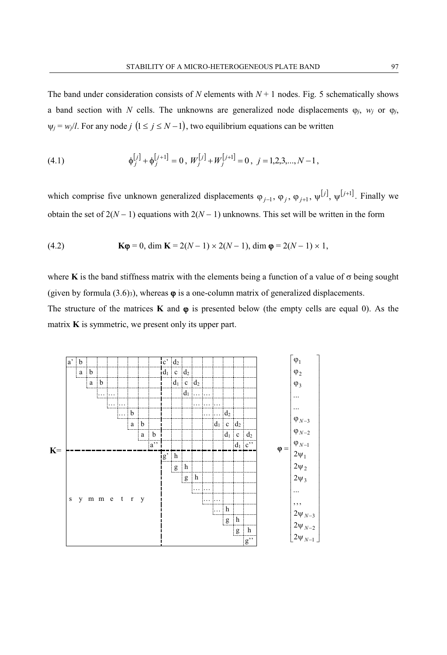The band under consideration consists of *N* elements with  $N+1$  nodes. Fig. 5 schematically shows a band section with *N* cells. The unknowns are generalized node displacements  $\varphi_i$ ,  $w_i$  or  $\varphi_j$ ,  $\psi_i = w_i/l$ . For any node *j*  $(1 \leq j \leq N-1)$ , two equilibrium equations can be written

(4.1) 
$$
\phi_j^{[j]} + \phi_j^{[j+1]} = 0, \ W_j^{[j]} + W_j^{[j+1]} = 0, \ j = 1, 2, 3, ..., N-1,
$$

which comprise five unknown generalized displacements  $\varphi_{j-1}, \varphi_j, \varphi_{j+1}, \psi^{[j]}, \psi^{[j+1]}$ . Finally we obtain the set of  $2(N-1)$  equations with  $2(N-1)$  unknowns. This set will be written in the form

(4.2) 
$$
\mathbf{K}\mathbf{\varphi} = 0, \dim \mathbf{K} = 2(N-1) \times 2(N-1), \dim \mathbf{\varphi} = 2(N-1) \times 1,
$$

where **K** is the band stiffness matrix with the elements being a function of a value of  $\sigma$  being sought (given by formula  $(3.6)_{3}$ ), whereas  $\varphi$  is a one-column matrix of generalized displacements.

The structure of the matrices **K** and  $\varphi$  is presented below (the empty cells are equal 0). As the matrix **K** is symmetric, we present only its upper part.

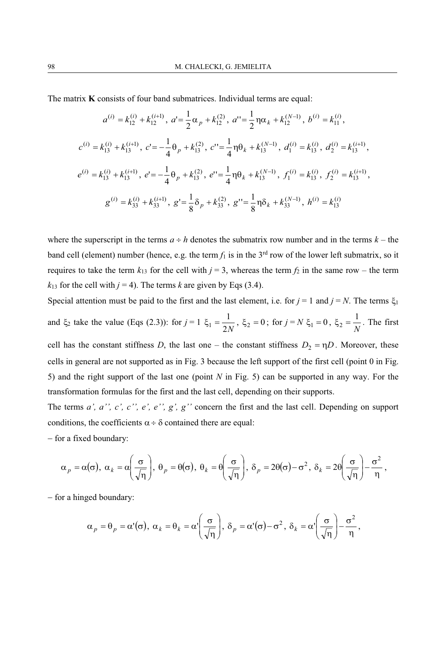The matrix **K** consists of four band submatrices. Individual terms are equal:

$$
a^{(i)} = k_{12}^{(i)} + k_{12}^{(i+1)}, \ a^i = \frac{1}{2}\alpha_p + k_{12}^{(2)}, \ a^{i} = \frac{1}{2}\eta\alpha_k + k_{12}^{(N-1)}, \ b^{(i)} = k_{11}^{(i)},
$$
  

$$
c^{(i)} = k_{13}^{(i)} + k_{13}^{(i+1)}, \ c^i = -\frac{1}{4}\theta_p + k_{13}^{(2)}, \ c^i = \frac{1}{4}\eta\theta_k + k_{13}^{(N-1)}, \ d_1^{(i)} = k_{13}^{(i)}, \ d_2^{(i)} = k_{13}^{(i+1)},
$$
  

$$
e^{(i)} = k_{13}^{(i)} + k_{13}^{(i+1)}, \ e^i = -\frac{1}{4}\theta_p + k_{13}^{(2)}, \ e^{i} = \frac{1}{4}\eta\theta_k + k_{13}^{(N-1)}, \ f_1^{(i)} = k_{13}^{(i)}, \ f_2^{(i)} = k_{13}^{(i+1)},
$$
  

$$
g^{(i)} = k_{33}^{(i)} + k_{33}^{(i+1)}, \ g^i = \frac{1}{8}\delta_p + k_{33}^{(2)}, \ g^{i} = \frac{1}{8}\eta\delta_k + k_{33}^{(N-1)}, \ h^{(i)} = k_{13}^{(i)}
$$

where the superscript in the terms  $a \div h$  denotes the submatrix row number and in the terms  $k -$  the band cell (element) number (hence, e.g. the term  $f_1$  is in the  $3^{rd}$  row of the lower left submatrix, so it requires to take the term  $k_{13}$  for the cell with  $j = 3$ , whereas the term  $f_2$  in the same row – the term  $k_{13}$  for the cell with  $j = 4$ ). The terms  $k$  are given by Eqs (3.4).

Special attention must be paid to the first and the last element, i.e. for  $j = 1$  and  $j = N$ . The terms  $\xi_1$ and  $\xi_2$  take the value (Eqs (2.3)): for  $j = 1$ ,  $\xi_1 = \frac{1}{2N}$ ,  $\xi_2 = 0$ ; for  $j = N$ ,  $\xi_1 = 0$ ,  $\xi_2 = \frac{1}{N}$ . The first cell has the constant stiffness *D*, the last one – the constant stiffness  $D_2 = \eta D$ . Moreover, these cells in general are not supported as in Fig. 3 because the left support of the first cell (point 0 in Fig. 5) and the right support of the last one (point *N* in Fig. 5) can be supported in any way. For the transformation formulas for the first and the last cell, depending on their supports.

The terms *a', a'', c', c'', e', e'', g', g''* concern the first and the last cell. Depending on support conditions, the coefficients  $\alpha \div \delta$  contained there are equal:

- for a fixed boundary:

$$
\alpha_p = \alpha(\sigma), \ \alpha_k = \alpha\left(\frac{\sigma}{\sqrt{\eta}}\right), \ \theta_p = \theta(\sigma), \ \theta_k = \theta\left(\frac{\sigma}{\sqrt{\eta}}\right), \ \delta_p = 2\theta(\sigma) - \sigma^2, \ \delta_k = 2\theta\left(\frac{\sigma}{\sqrt{\eta}}\right) - \frac{\sigma^2}{\eta},
$$

 $-$  for a hinged boundary:

$$
\alpha_p = \theta_p = \alpha'(\sigma), \ \alpha_k = \theta_k = \alpha' \left(\frac{\sigma}{\sqrt{\eta}}\right), \ \delta_p = \alpha'(\sigma) - \sigma^2, \ \delta_k = \alpha' \left(\frac{\sigma}{\sqrt{\eta}}\right) - \frac{\sigma^2}{\eta},
$$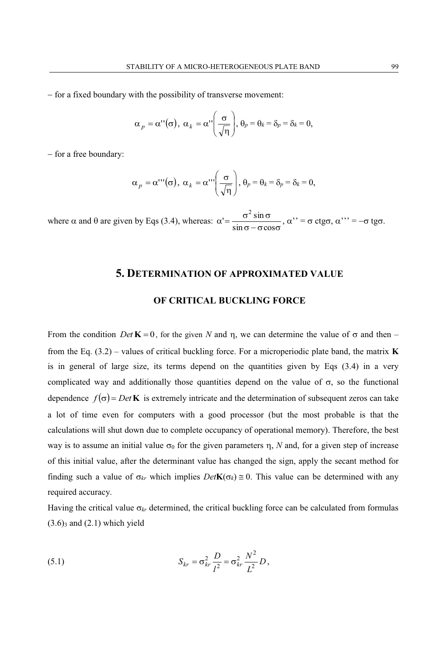– for a fixed boundary with the possibility of transverse movement:

$$
\alpha_p = \alpha''(\sigma), \ \alpha_k = \alpha''\left(\frac{\sigma}{\sqrt{\eta}}\right), \ \theta_p = \theta_k = \delta_p = \delta_k = 0,
$$

 $-$  for a free boundary:

$$
\alpha_p = \alpha'''(\sigma), \ \alpha_k = \alpha''' \left(\frac{\sigma}{\sqrt{\eta}}\right), \ \theta_p = \theta_k = \delta_p = \delta_k = 0,
$$

where  $\alpha$  and  $\theta$  are given by Eqs (3.4), whereas:  $\alpha' = \frac{\sigma^2 \sin \sigma}{\sin \sigma - \sigma \cos \sigma}$  $\sin \sigma - \sigma \cos$  $\sigma^2 \sin \theta$  $\frac{2 \sin \sigma}{\sigma}$ ,  $\alpha$ " =  $\sigma$  ctg $\sigma$ ,  $\alpha$ "' =  $-\sigma$  tg $\sigma$ .

#### **5. DETERMINATION OF APPROXIMATED VALUE**

#### **OF CRITICAL BUCKLING FORCE**

From the condition *Det*  $\mathbf{K} = 0$ , for the given *N* and  $\eta$ , we can determine the value of  $\sigma$  and then – from the Eq. (3.2) – values of critical buckling force. For a microperiodic plate band, the matrix **K** is in general of large size, its terms depend on the quantities given by Eqs (3.4) in a very complicated way and additionally those quantities depend on the value of  $\sigma$ , so the functional dependence  $f(\sigma) = Det \mathbf{K}$  is extremely intricate and the determination of subsequent zeros can take a lot of time even for computers with a good processor (but the most probable is that the calculations will shut down due to complete occupancy of operational memory). Therefore, the best way is to assume an initial value  $\sigma_0$  for the given parameters  $\eta$ , *N* and, for a given step of increase of this initial value, after the determinant value has changed the sign, apply the secant method for finding such a value of  $\sigma_{kr}$  which implies  $Det\mathbf{K}(\sigma_k) \cong 0$ . This value can be determined with any required accuracy.

Having the critical value  $\sigma_{kr}$  determined, the critical buckling force can be calculated from formulas  $(3.6)$ <sub>3</sub> and  $(2.1)$  which yield

(5.1) 
$$
S_{kr} = \sigma_{kr}^2 \frac{D}{l^2} = \sigma_{kr}^2 \frac{N^2}{L^2} D,
$$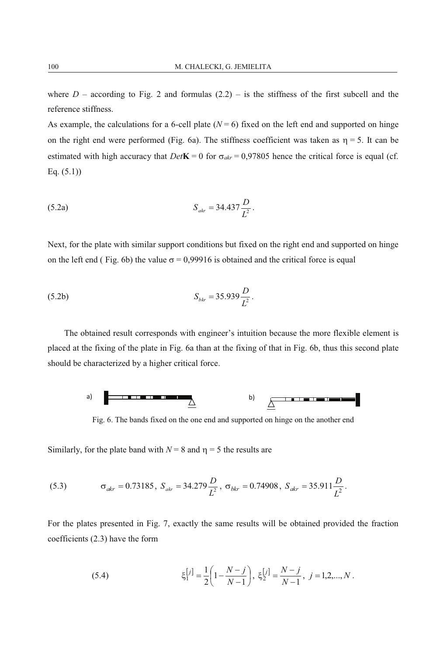where  $D$  – according to Fig. 2 and formulas  $(2.2)$  – is the stiffness of the first subcell and the reference stiffness.

As example, the calculations for a 6-cell plate  $(N = 6)$  fixed on the left end and supported on hinge on the right end were performed (Fig. 6a). The stiffness coefficient was taken as  $\eta = 5$ . It can be estimated with high accuracy that  $Det$ **K** = 0 for  $\sigma_{akr}$  = 0,97805 hence the critical force is equal (cf. Eq. (5.1))

(5.2a) 
$$
S_{akr} = 34.437 \frac{D}{L^2}.
$$

Next, for the plate with similar support conditions but fixed on the right end and supported on hinge on the left end (Fig. 6b) the value  $\sigma = 0.99916$  is obtained and the critical force is equal

(5.2b) 
$$
S_{_{bk}} = 35.939 \frac{D}{L^2}.
$$

The obtained result corresponds with engineer's intuition because the more flexible element is placed at the fixing of the plate in Fig. 6a than at the fixing of that in Fig. 6b, thus this second plate should be characterized by a higher critical force.



Fig. 6. The bands fixed on the one end and supported on hinge on the another end

Similarly, for the plate band with  $N = 8$  and  $\eta = 5$  the results are

(5.3) 
$$
\sigma_{akr} = 0.73185, S_{akr} = 34.279 \frac{D}{L^2}, \sigma_{bkr} = 0.74908, S_{akr} = 35.911 \frac{D}{L^2}.
$$

For the plates presented in Fig. 7, exactly the same results will be obtained provided the fraction coefficients (2.3) have the form

(5.4) 
$$
\xi_1^{[j]} = \frac{1}{2} \left( 1 - \frac{N - j}{N - 1} \right), \ \xi_2^{[j]} = \frac{N - j}{N - 1}, \ j = 1, 2, ..., N.
$$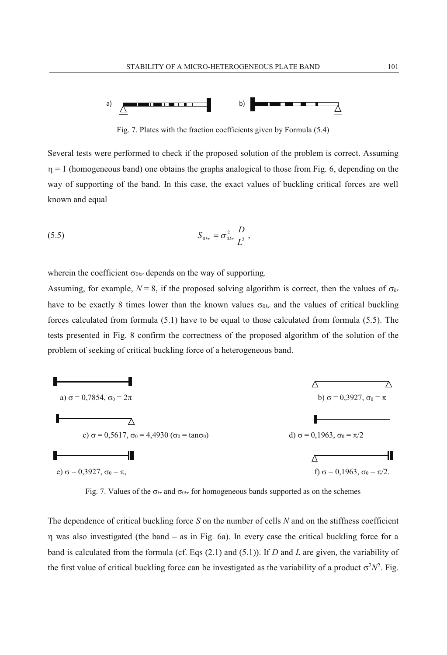

Fig. 7. Plates with the fraction coefficients given by Formula (5.4)

Several tests were performed to check if the proposed solution of the problem is correct. Assuming  $\eta = 1$  (homogeneous band) one obtains the graphs analogical to those from Fig. 6, depending on the way of supporting of the band. In this case, the exact values of buckling critical forces are well known and equal

(5.5) 
$$
S_{0kr} = \sigma_{0kr}^2 \frac{D}{L^2},
$$

wherein the coefficient  $\sigma_{0kr}$  depends on the way of supporting.

Assuming, for example,  $N = 8$ , if the proposed solving algorithm is correct, then the values of  $\sigma_{kr}$ have to be exactly 8 times lower than the known values  $\sigma_{0kr}$  and the values of critical buckling forces calculated from formula (5.1) have to be equal to those calculated from formula (5.5). The tests presented in Fig. 8 confirm the correctness of the proposed algorithm of the solution of the problem of seeking of critical buckling force of a heterogeneous band.



Fig. 7. Values of the  $\sigma_{kr}$  and  $\sigma_{0kr}$  for homogeneous bands supported as on the schemes

The dependence of critical buckling force *S* on the number of cells *N* and on the stiffness coefficient was also investigated (the band – as in Fig. 6a). In every case the critical buckling force for a band is calculated from the formula (cf. Eqs (2.1) and (5.1)). If *D* and *L* are given, the variability of the first value of critical buckling force can be investigated as the variability of a product  $\sigma^2 N^2$ . Fig.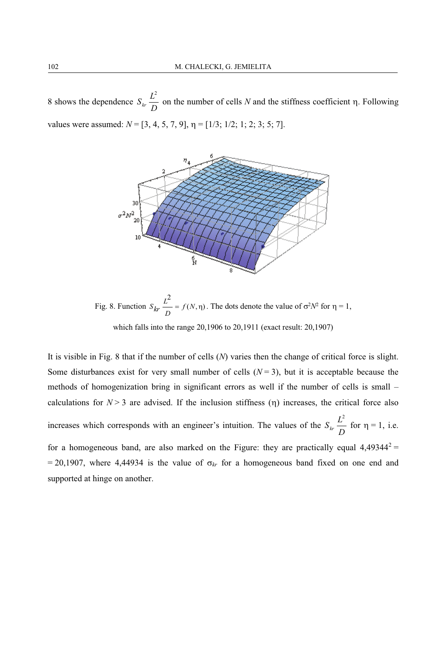8 shows the dependence  $S_k \frac{L^2}{D}$  on the number of cells *N* and the stiffness coefficient  $\eta$ . Following values were assumed:  $N = [3, 4, 5, 7, 9]$ ,  $\eta = [1/3; 1/2; 1; 2; 3; 5; 7]$ .



Fig. 8. Function  $S_{kr}$  = =  $f(N, \eta)$  $\frac{L^2}{D} = f(N, η)$  $S_{kr} \frac{L^2}{D} = f(N, \eta)$ . The dots denote the value of  $\sigma^2 N^2$  for  $\eta = 1$ ,

which falls into the range 20,1906 to 20,1911 (exact result: 20,1907)

It is visible in Fig. 8 that if the number of cells (*N*) varies then the change of critical force is slight. Some disturbances exist for very small number of cells  $(N = 3)$ , but it is acceptable because the methods of homogenization bring in significant errors as well if the number of cells is small – calculations for  $N > 3$  are advised. If the inclusion stiffness ( $\eta$ ) increases, the critical force also increases which corresponds with an engineer's intuition. The values of the  $S_{kr} \frac{L^2}{D}$  for  $\eta = 1$ , i.e. for a homogeneous band, are also marked on the Figure: they are practically equal  $4.49344^{2}$  = = 20,1907, where 4,44934 is the value of  $\sigma_{kr}$  for a homogeneous band fixed on one end and supported at hinge on another.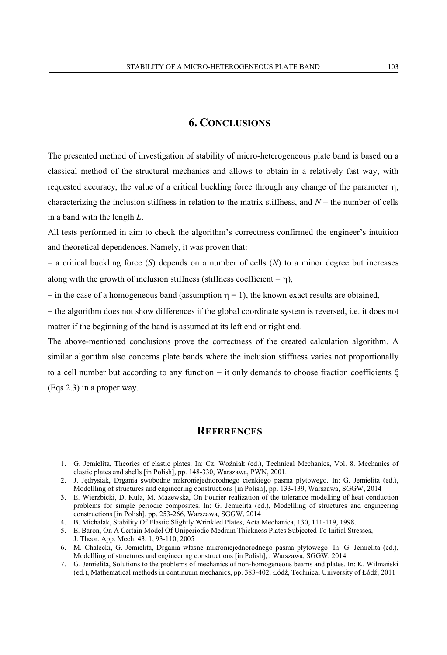## **6. CONCLUSIONS**

The presented method of investigation of stability of micro-heterogeneous plate band is based on a classical method of the structural mechanics and allows to obtain in a relatively fast way, with requested accuracy, the value of a critical buckling force through any change of the parameter  $\eta$ , characterizing the inclusion stiffness in relation to the matrix stiffness, and *N* – the number of cells in a band with the length *L*.

All tests performed in aim to check the algorithm's correctness confirmed the engineer's intuition and theoretical dependences. Namely, it was proven that:

 $-$  a critical buckling force (*S*) depends on a number of cells (*N*) to a minor degree but increases along with the growth of inclusion stiffness (stiffness coefficient  $- \eta$ ),

 $\overline{\phantom{a}}$  in the case of a homogeneous band (assumption  $\eta = 1$ ), the known exact results are obtained,

- the algorithm does not show differences if the global coordinate system is reversed, i.e. it does not matter if the beginning of the band is assumed at its left end or right end.

The above-mentioned conclusions prove the correctness of the created calculation algorithm. A similar algorithm also concerns plate bands where the inclusion stiffness varies not proportionally to a cell number but according to any function  $-$  it only demands to choose fraction coefficients  $\xi$ (Eqs 2.3) in a proper way.

#### **REFERENCES**

- 1. G. Jemielita, Theories of elastic plates. In: Cz. Woźniak (ed.), Technical Mechanics, Vol. 8. Mechanics of elastic plates and shells [in Polish], pp. 148-330, Warszawa, PWN, 2001.
- 2. J. Jędrysiak, Drgania swobodne mikroniejednorodnego cienkiego pasma płytowego. In: G. Jemielita (ed.), Modellling of structures and engineering constructions [in Polish], pp. 133-139, Warszawa, SGGW, 2014
- 3. E. Wierzbicki, D. Kula, M. Mazewska, On Fourier realization of the tolerance modelling of heat conduction problems for simple periodic composites. In: G. Jemielita (ed.), Modellling of structures and engineering constructions [in Polish], pp. 253-266, Warszawa, SGGW, 2014
- 4. B. Michalak, Stability Of Elastic Slightly Wrinkled Plates, Acta Mechanica, 130, 111-119, 1998.
- 5. E. Baron, On A Certain Model Of Uniperiodic Medium Thickness Plates Subjected To Initial Stresses, J. Theor. App. Mech. 43, 1, 93-110, 2005
- 6. M. Chalecki, G. Jemielita, Drgania własne mikroniejednorodnego pasma płytowego. In: G. Jemielita (ed.), Modellling of structures and engineering constructions [in Polish], , Warszawa, SGGW, 2014
- 7. G. Jemielita, Solutions to the problems of mechanics of non-homogeneous beams and plates. In: K. Wilmański (ed.), Mathematical methods in continuum mechanics, pp. 383-402, Łódź, Technical University of Łódź, 2011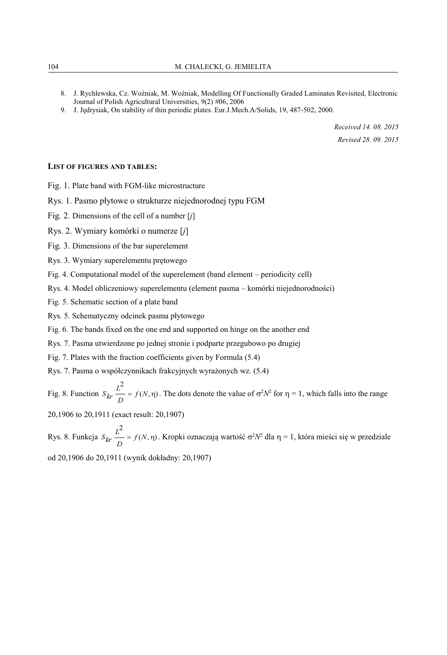- 8. J. Rychlewska, Cz. Woźniak, M. Woźniak, Modelling Of Functionally Graded Laminates Revisited, Electronic Journal of Polish Agricultural Universities, 9(2) #06, 2006
- 9. J. Jędrysiak, On stability of thin periodic plates. Eur.J.Mech.A/Solids, 19, 487-502, 2000.

*Received 14. 08. 2015 Revised 28. 09. 2015* 

#### **LIST OF FIGURES AND TABLES:**

Fig. 1. Plate band with FGM-like microstructure

Rys. 1. Pasmo płytowe o strukturze niejednorodnej typu FGM

- Fig. 2. Dimensions of the cell of a number [*j*]
- Rys. 2. Wymiary komórki o numerze [*j*]
- Fig. 3. Dimensions of the bar superelement
- Rys. 3. Wymiary superelementu prętowego
- Fig. 4. Computational model of the superelement (band element periodicity cell)
- Rys. 4. Model obliczeniowy superelementu (element pasma komórki niejednorodności)
- Fig. 5. Schematic section of a plate band
- Rys. 5. Schematyczny odcinek pasma płytowego
- Fig. 6. The bands fixed on the one end and supported on hinge on the another end
- Rys. 7. Pasma utwierdzone po jednej stronie i podparte przegubowo po drugiej
- Fig. 7. Plates with the fraction coefficients given by Formula (5.4)

Rys. 7. Pasma o współczynnikach frakcyjnych wyrażonych wz. (5.4)

Fig. 8. Function  $S_{kr}$  = =  $f(N, \eta)$  $\frac{L^2}{D} = f(N, η)$  $S_{kr} \frac{L^2}{R} = f(N, \eta)$ . The dots denote the value of  $\sigma^2 N^2$  for  $\eta = 1$ , which falls into the range

20,1906 to 20,1911 (exact result: 20,1907)

Rys. 8. Funkcja  $S_{kr}$  — =  $f(N, \eta)$  $\frac{L^2}{D} = f(N, η)$  $S_{kr}$   $\frac{L^2}{D} = f(N, \eta)$ . Kropki oznaczają wartość σ<sup>2</sup>N<sup>2</sup> dla η = 1, która mieści się w przedziale

od 20,1906 do 20,1911 (wynik dokładny: 20,1907)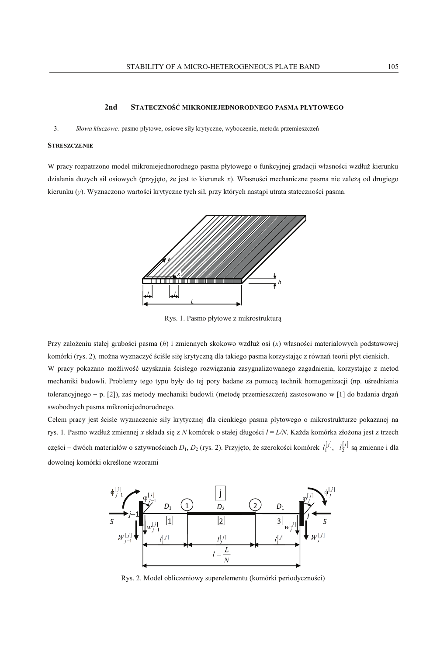#### **2nd STATECZNOŚĆ MIKRONIEJEDNORODNEGO PASMA PŁYTOWEGO**

#### 3. *Słowa kluczowe:* pasmo płytowe, osiowe siły krytyczne, wyboczenie, metoda przemieszczeń

#### **STRESZCZENIE**

W pracy rozpatrzono model mikroniejednorodnego pasma płytowego o funkcyjnej gradacji własności wzdłuż kierunku działania dużych sił osiowych (przyjęto, że jest to kierunek *x*). Własności mechaniczne pasma nie zależą od drugiego kierunku (*y*). Wyznaczono wartości krytyczne tych sił, przy których nastąpi utrata stateczności pasma.



Rys. 1. Pasmo płytowe z mikrostrukturą

Przy założeniu stałej grubości pasma (*h*) i zmiennych skokowo wzdłuż osi (*x*) własności materiałowych podstawowej komórki (rys. 2)*,* można wyznaczyć ściśle siłę krytyczną dla takiego pasma korzystając z równań teorii płyt cienkich.

W pracy pokazano możliwość uzyskania ścisłego rozwiązania zasygnalizowanego zagadnienia, korzystając z metod mechaniki budowli. Problemy tego typu były do tej pory badane za pomocą technik homogenizacji (np. uśredniania tolerancyjnego - p. [2]), zaś metody mechaniki budowli (metodę przemieszczeń) zastosowano w [1] do badania drgań swobodnych pasma mikroniejednorodnego.

Celem pracy jest ścisłe wyznaczenie siły krytycznej dla cienkiego pasma płytowego o mikrostrukturze pokazanej na rys. 1. Pasmo wzdłuż zmiennej *x* składa się z *N* komórek o stałej długości *l* = *L/N*. Każda komórka złożona jest z trzech części – dwóch materiałów o sztywnościach  $D_1, D_2$  (rys. 2). Przyjęto, że szerokości komórek  $l_1^{[j]}, l_2^{[j]}$  są zmienne i dla dowolnej komórki określone wzorami



Rys. 2. Model obliczeniowy superelementu (komórki periodyczności)